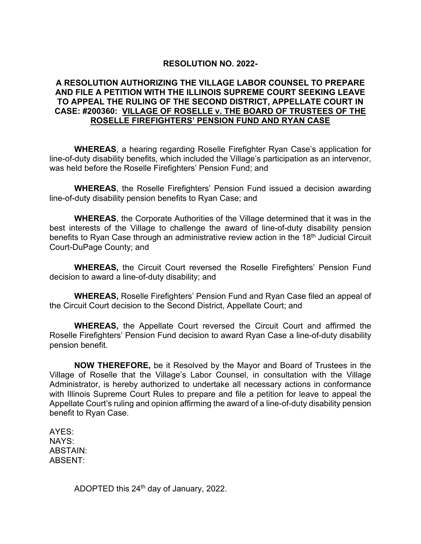## **RESOLUTION NO. 2022-**

## **A RESOLUTION AUTHORIZING THE VILLAGE LABOR COUNSEL TO PREPARE AND FILE A PETITION WITH THE ILLINOIS SUPREME COURT SEEKING LEAVE TO APPEAL THE RULING OF THE SECOND DISTRICT, APPELLATE COURT IN CASE: #200360: VILLAGE OF ROSELLE v. THE BOARD OF TRUSTEES OF THE ROSELLE FIREFIGHTERS' PENSION FUND AND RYAN CASE**

**WHEREAS**, a hearing regarding Roselle Firefighter Ryan Case's application for line-of-duty disability benefits, which included the Village's participation as an intervenor, was held before the Roselle Firefighters' Pension Fund; and

**WHEREAS**, the Roselle Firefighters' Pension Fund issued a decision awarding line-of-duty disability pension benefits to Ryan Case; and

**WHEREAS**, the Corporate Authorities of the Village determined that it was in the best interests of the Village to challenge the award of line-of-duty disability pension benefits to Ryan Case through an administrative review action in the 18<sup>th</sup> Judicial Circuit Court-DuPage County; and

**WHEREAS,** the Circuit Court reversed the Roselle Firefighters' Pension Fund decision to award a line-of-duty disability; and

**WHEREAS,** Roselle Firefighters' Pension Fund and Ryan Case filed an appeal of the Circuit Court decision to the Second District, Appellate Court; and

**WHEREAS,** the Appellate Court reversed the Circuit Court and affirmed the Roselle Firefighters' Pension Fund decision to award Ryan Case a line-of-duty disability pension benefit.

**NOW THEREFORE,** be it Resolved by the Mayor and Board of Trustees in the Village of Roselle that the Village's Labor Counsel, in consultation with the Village Administrator, is hereby authorized to undertake all necessary actions in conformance with Illinois Supreme Court Rules to prepare and file a petition for leave to appeal the Appellate Court's ruling and opinion affirming the award of a line-of-duty disability pension benefit to Ryan Case.

AYES: NAYS: ABSTAIN: ABSENT:

ADOPTED this 24<sup>th</sup> day of January, 2022.